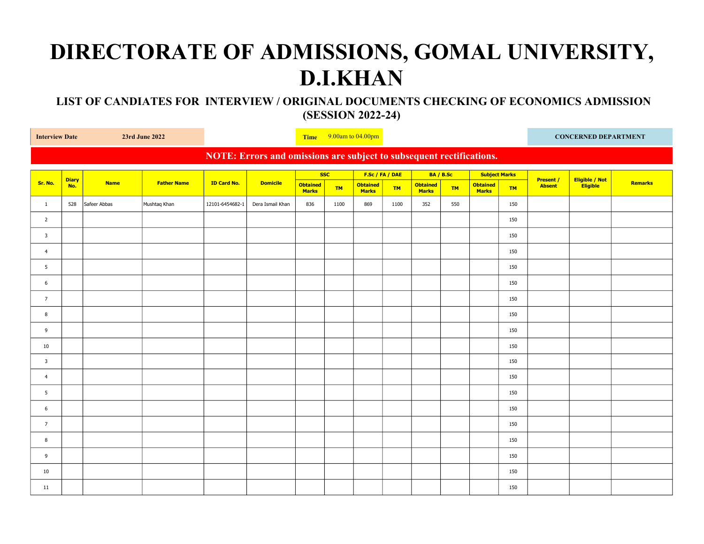## DIRECTORATE OF ADMISSIONS, GOMAL UNIVERSITY, D.I.KHAN

 LIST OF CANDIATES FOR INTERVIEW / ORIGINAL DOCUMENTS CHECKING OF ECONOMICS ADMISSION (SESSION 2022-24)

| <b>Interview Date</b>                                                |                     | 23rd June 2022 |                    |                    | Time $9.00$ am to $04.00$ pm |                                 |           |                                 |           |                                 |           |                                 | <b>CONCERNED DEPARTMENT</b> |                                   |                            |                |
|----------------------------------------------------------------------|---------------------|----------------|--------------------|--------------------|------------------------------|---------------------------------|-----------|---------------------------------|-----------|---------------------------------|-----------|---------------------------------|-----------------------------|-----------------------------------|----------------------------|----------------|
| NOTE: Errors and omissions are subject to subsequent rectifications. |                     |                |                    |                    |                              |                                 |           |                                 |           |                                 |           |                                 |                             |                                   |                            |                |
|                                                                      |                     |                |                    |                    | <b>Domicile</b>              | <b>SSC</b>                      |           | F.Sc / FA / DAE                 |           | BA / B.Sc                       |           | <b>Subject Marks</b>            |                             |                                   |                            |                |
| Sr. No.                                                              | <b>Diary</b><br>No. | <b>Name</b>    | <b>Father Name</b> | <b>ID Card No.</b> |                              | <b>Obtained</b><br><b>Marks</b> | <b>TM</b> | <b>Obtained</b><br><b>Marks</b> | <b>TM</b> | <b>Obtained</b><br><b>Marks</b> | <b>TM</b> | <b>Obtained</b><br><b>Marks</b> | <b>TM</b>                   | <b>Present /</b><br><b>Absent</b> | Eligible / Not<br>Eligible | <b>Remarks</b> |
| $\mathbf{1}$                                                         | 528                 | Safeer Abbas   | Mushtaq Khan       | 12101-6454682-1    | Dera Ismail Khan             | 836                             | 1100      | 869                             | 1100      | 352                             | 550       |                                 | 150                         |                                   |                            |                |
| $\overline{2}$                                                       |                     |                |                    |                    |                              |                                 |           |                                 |           |                                 |           |                                 | 150                         |                                   |                            |                |
| $\overline{\mathbf{3}}$                                              |                     |                |                    |                    |                              |                                 |           |                                 |           |                                 |           |                                 | 150                         |                                   |                            |                |
| $\overline{4}$                                                       |                     |                |                    |                    |                              |                                 |           |                                 |           |                                 |           |                                 | 150                         |                                   |                            |                |
| 5                                                                    |                     |                |                    |                    |                              |                                 |           |                                 |           |                                 |           |                                 | 150                         |                                   |                            |                |
| 6                                                                    |                     |                |                    |                    |                              |                                 |           |                                 |           |                                 |           |                                 | 150                         |                                   |                            |                |
| $\overline{7}$                                                       |                     |                |                    |                    |                              |                                 |           |                                 |           |                                 |           |                                 | 150                         |                                   |                            |                |
| 8                                                                    |                     |                |                    |                    |                              |                                 |           |                                 |           |                                 |           |                                 | 150                         |                                   |                            |                |
| 9                                                                    |                     |                |                    |                    |                              |                                 |           |                                 |           |                                 |           |                                 | 150                         |                                   |                            |                |
| 10                                                                   |                     |                |                    |                    |                              |                                 |           |                                 |           |                                 |           |                                 | 150                         |                                   |                            |                |
| $\overline{\mathbf{3}}$                                              |                     |                |                    |                    |                              |                                 |           |                                 |           |                                 |           |                                 | 150                         |                                   |                            |                |
| $\overline{4}$                                                       |                     |                |                    |                    |                              |                                 |           |                                 |           |                                 |           |                                 | 150                         |                                   |                            |                |
| 5                                                                    |                     |                |                    |                    |                              |                                 |           |                                 |           |                                 |           |                                 | 150                         |                                   |                            |                |
| 6                                                                    |                     |                |                    |                    |                              |                                 |           |                                 |           |                                 |           |                                 | 150                         |                                   |                            |                |
| $7^{\circ}$                                                          |                     |                |                    |                    |                              |                                 |           |                                 |           |                                 |           |                                 | 150                         |                                   |                            |                |
| 8                                                                    |                     |                |                    |                    |                              |                                 |           |                                 |           |                                 |           |                                 | 150                         |                                   |                            |                |
| 9                                                                    |                     |                |                    |                    |                              |                                 |           |                                 |           |                                 |           |                                 | 150                         |                                   |                            |                |
| 10                                                                   |                     |                |                    |                    |                              |                                 |           |                                 |           |                                 |           |                                 | 150                         |                                   |                            |                |
| 11                                                                   |                     |                |                    |                    |                              |                                 |           |                                 |           |                                 |           |                                 | 150                         |                                   |                            |                |